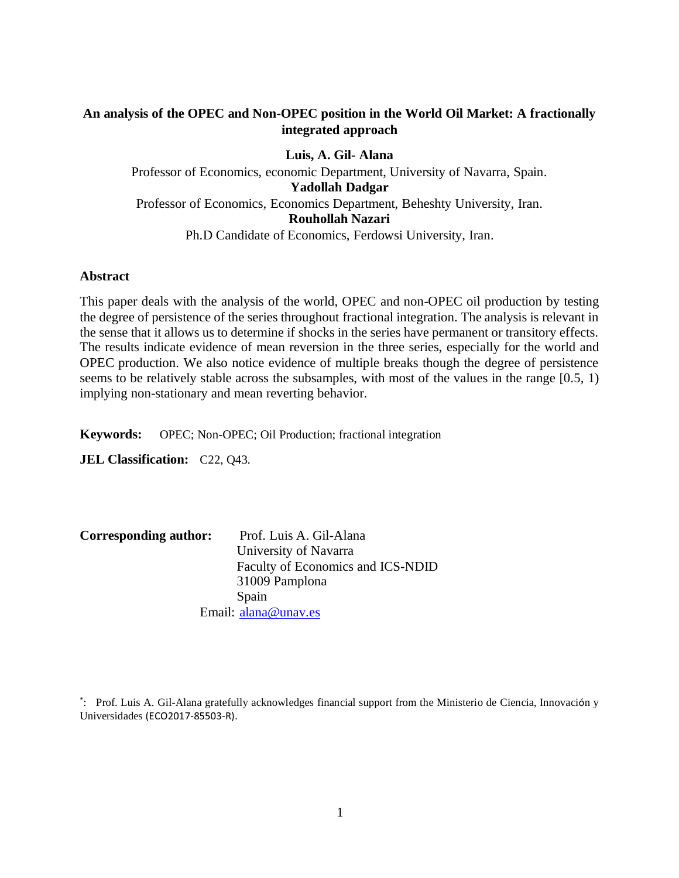# **An analysis of the OPEC and Non-OPEC position in the World Oil Market: A fractionally integrated approach**

**Luis, A. Gil- Alana** Professor of Economics, economic Department, University of Navarra, Spain. **Yadollah Dadgar**  Professor of Economics, Economics Department, Beheshty University, Iran. **Rouhollah Nazari** Ph.D Candidate of Economics, Ferdowsi University, Iran.

#### **Abstract**

This paper deals with the analysis of the world, OPEC and non-OPEC oil production by testing the degree of persistence of the series throughout fractional integration. The analysis is relevant in the sense that it allows us to determine if shocks in the series have permanent or transitory effects. The results indicate evidence of mean reversion in the three series, especially for the world and OPEC production. We also notice evidence of multiple breaks though the degree of persistence seems to be relatively stable across the subsamples, with most of the values in the range [0.5, 1) implying non-stationary and mean reverting behavior.

**Keywords:** OPEC; Non-OPEC; Oil Production; fractional integration

**JEL Classification:** C22, Q43.

| Corresponding author: | Prof. Luis A. Gil-Alana           |  |  |  |
|-----------------------|-----------------------------------|--|--|--|
|                       | University of Navarra             |  |  |  |
|                       | Faculty of Economics and ICS-NDID |  |  |  |
|                       | 31009 Pamplona                    |  |  |  |
|                       | Spain                             |  |  |  |
|                       | Email: alana@unav.es              |  |  |  |

\* : Prof. Luis A. Gil-Alana gratefully acknowledges financial support from the Ministerio de Ciencia, Innovación y Universidades (ECO2017-85503-R).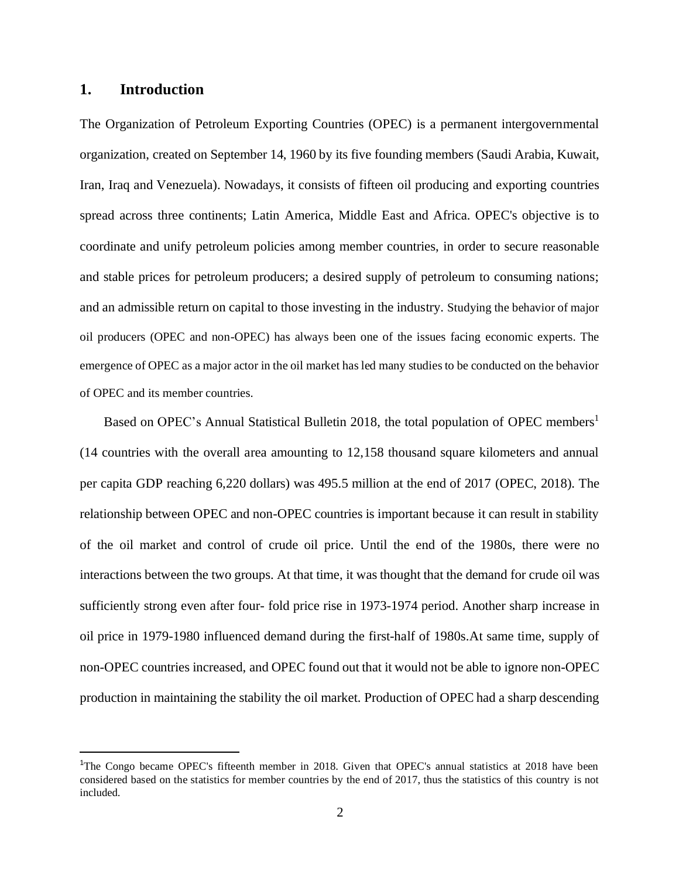#### **1. Introduction**

The Organization of Petroleum Exporting Countries (OPEC) is a permanent intergovernmental organization, created on September 14, 1960 by its five founding members (Saudi Arabia, Kuwait, Iran, Iraq and Venezuela). Nowadays, it consists of fifteen oil producing and exporting countries spread across three continents; Latin America, Middle East and Africa. OPEC's objective is to coordinate and unify petroleum policies among member countries, in order to secure reasonable and stable prices for petroleum producers; a desired supply of petroleum to consuming nations; and an admissible return on capital to those investing in the industry. Studying the behavior of major oil producers (OPEC and non-OPEC) has always been one of the issues facing economic experts. The emergence of OPEC as a major actor in the oil market has led many studies to be conducted on the behavior of OPEC and its member countries.

Based on OPEC's Annual Statistical Bulletin 2018, the total population of OPEC members<sup>1</sup> (14 countries with the overall area amounting to 12,158 thousand square kilometers and annual per capita GDP reaching 6,220 dollars) was 495.5 million at the end of 2017 (OPEC, 2018). The relationship between OPEC and non-OPEC countries is important because it can result in stability of the oil market and control of crude oil price. Until the end of the 1980s, there were no interactions between the two groups. At that time, it was thought that the demand for crude oil was sufficiently strong even after four- fold price rise in 1973-1974 period. Another sharp increase in oil price in 1979-1980 influenced demand during the first-half of 1980s.At same time, supply of non-OPEC countries increased, and OPEC found out that it would not be able to ignore non-OPEC production in maintaining the stability the oil market. Production of OPEC had a sharp descending

<sup>&</sup>lt;sup>1</sup>The Congo became OPEC's fifteenth member in 2018. Given that OPEC's annual statistics at 2018 have been considered based on the statistics for member countries by the end of 2017, thus the statistics of this country is not included.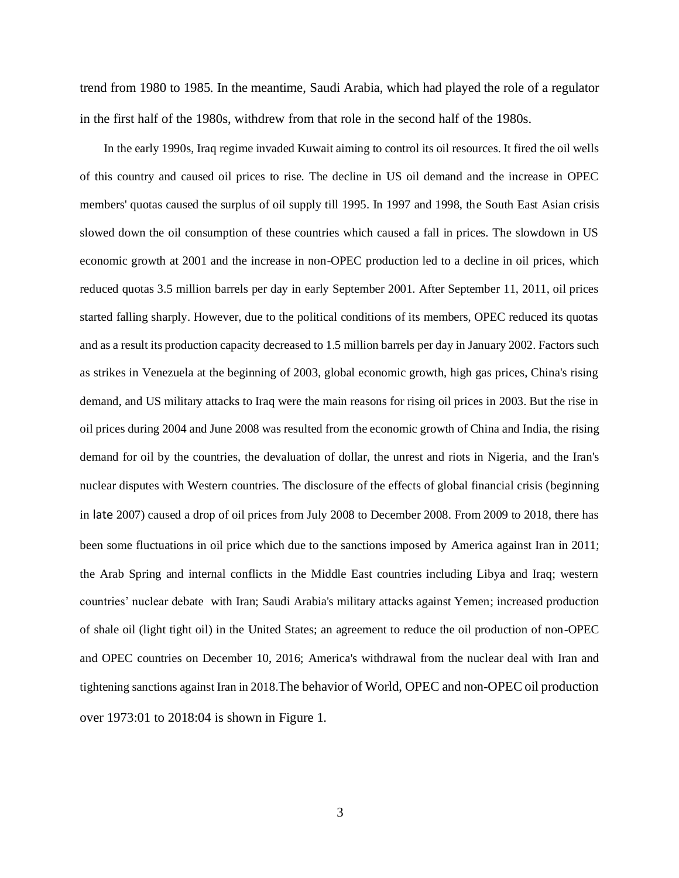trend from 1980 to 1985. In the meantime, Saudi Arabia, which had played the role of a regulator in the first half of the 1980s, withdrew from that role in the second half of the 1980s.

In the early 1990s, Iraq regime invaded Kuwait aiming to control its oil resources. It fired the oil wells of this country and caused oil prices to rise. The decline in US oil demand and the increase in OPEC members' quotas caused the surplus of oil supply till 1995. In 1997 and 1998, the South East Asian crisis slowed down the oil consumption of these countries which caused a fall in prices. The slowdown in US economic growth at 2001 and the increase in non-OPEC production led to a decline in oil prices, which reduced quotas 3.5 million barrels per day in early September 2001. After September 11, 2011, oil prices started falling sharply. However, due to the political conditions of its members, OPEC reduced its quotas and as a result its production capacity decreased to 1.5 million barrels per day in January 2002. Factors such as strikes in Venezuela at the beginning of 2003, global economic growth, high gas prices, China's rising demand, and US military attacks to Iraq were the main reasons for rising oil prices in 2003. But the rise in oil prices during 2004 and June 2008 was resulted from the economic growth of China and India, the rising demand for oil by the countries, the devaluation of dollar, the unrest and riots in Nigeria, and the Iran's nuclear disputes with Western countries. The disclosure of the effects of global financial crisis (beginning in late 2007) caused a drop of oil prices from July 2008 to December 2008. From 2009 to 2018, there has been some fluctuations in oil price which due to the sanctions imposed by America against Iran in 2011; the Arab Spring and internal conflicts in the Middle East countries including Libya and Iraq; western countries' nuclear debate with Iran; Saudi Arabia's military attacks against Yemen; increased production of shale oil (light tight oil) in the United States; an agreement to reduce the oil production of non-OPEC and OPEC countries on December 10, 2016; America's withdrawal from the nuclear deal with Iran and tightening sanctions against Iran in 2018.The behavior of World, OPEC and non-OPEC oil production over 1973:01 to 2018:04 is shown in Figure 1.

3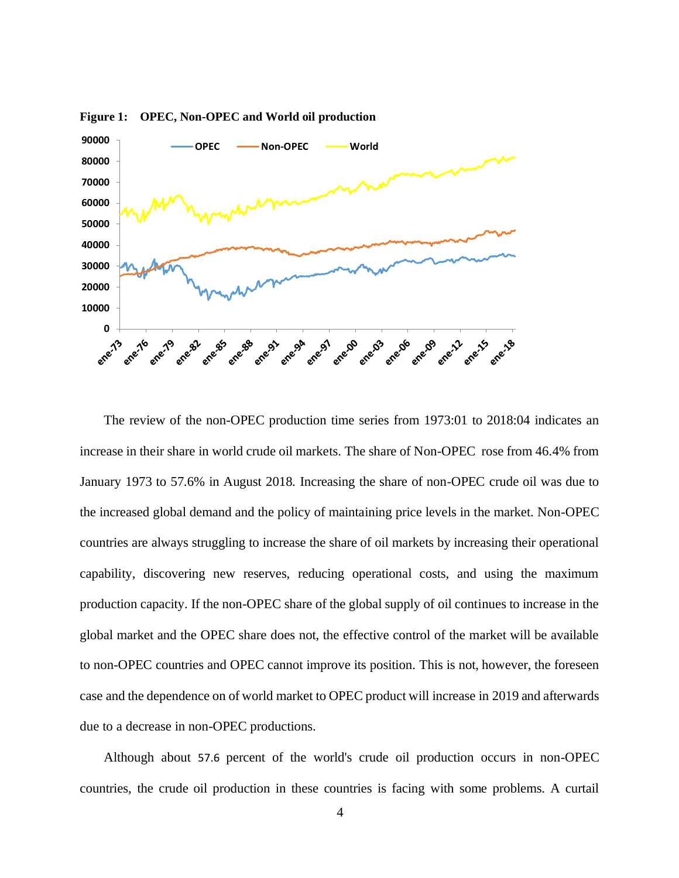

**Figure 1: OPEC, Non-OPEC and World oil production**

The review of the non-OPEC production time series from 1973:01 to 2018:04 indicates an increase in their share in world crude oil markets. The share of Non-OPEC rose from 46.4% from January 1973 to 57.6% in August 2018. Increasing the share of non-OPEC crude oil was due to the increased global demand and the policy of maintaining price levels in the market. Non-OPEC countries are always struggling to increase the share of oil markets by increasing their operational capability, discovering new reserves, reducing operational costs, and using the maximum production capacity. If the non-OPEC share of the global supply of oil continues to increase in the global market and the OPEC share does not, the effective control of the market will be available to non-OPEC countries and OPEC cannot improve its position. This is not, however, the foreseen case and the dependence on of world market to OPEC product will increase in 2019 and afterwards due to a decrease in non-OPEC productions.

Although about 57.6 percent of the world's crude oil production occurs in non-OPEC countries, the crude oil production in these countries is facing with some problems. A curtail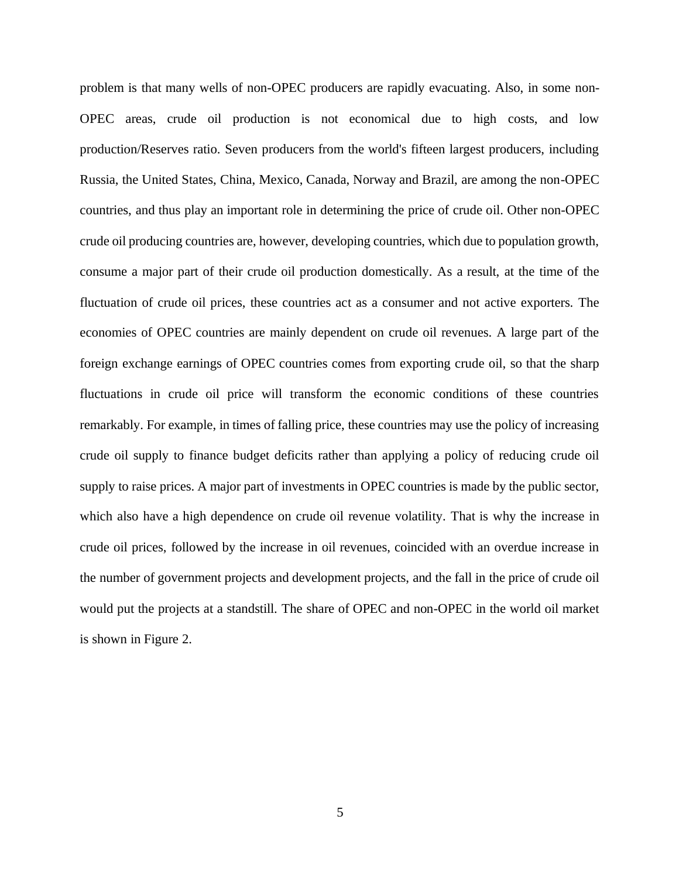problem is that many wells of non-OPEC producers are rapidly evacuating. Also, in some non-OPEC areas, crude oil production is not economical due to high costs, and low production/Reserves ratio. Seven producers from the world's fifteen largest producers, including Russia, the United States, China, Mexico, Canada, Norway and Brazil, are among the non-OPEC countries, and thus play an important role in determining the price of crude oil. Other non-OPEC crude oil producing countries are, however, developing countries, which due to population growth, consume a major part of their crude oil production domestically. As a result, at the time of the fluctuation of crude oil prices, these countries act as a consumer and not active exporters. The economies of OPEC countries are mainly dependent on crude oil revenues. A large part of the foreign exchange earnings of OPEC countries comes from exporting crude oil, so that the sharp fluctuations in crude oil price will transform the economic conditions of these countries remarkably. For example, in times of falling price, these countries may use the policy of increasing crude oil supply to finance budget deficits rather than applying a policy of reducing crude oil supply to raise prices. A major part of investments in OPEC countries is made by the public sector, which also have a high dependence on crude oil revenue volatility. That is why the increase in crude oil prices, followed by the increase in oil revenues, coincided with an overdue increase in the number of government projects and development projects, and the fall in the price of crude oil would put the projects at a standstill. The share of OPEC and non-OPEC in the world oil market is shown in Figure 2.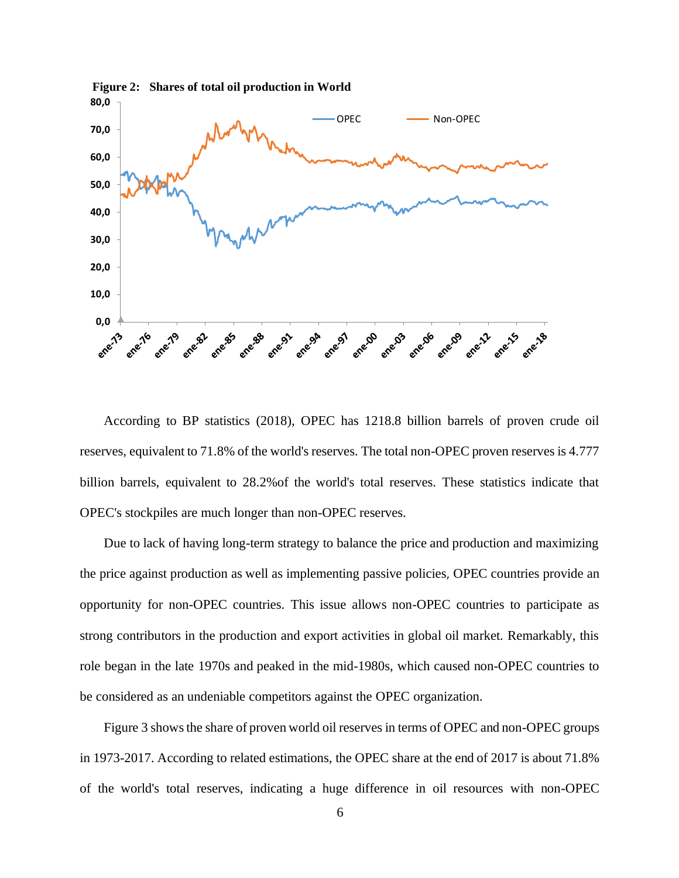

According to BP statistics (2018), OPEC has 1218.8 billion barrels of proven crude oil reserves, equivalent to 71.8% of the world's reserves. The total non-OPEC proven reserves is 4.777 billion barrels, equivalent to 28.2%of the world's total reserves. These statistics indicate that OPEC's stockpiles are much longer than non-OPEC reserves.

Due to lack of having long-term strategy to balance the price and production and maximizing the price against production as well as implementing passive policies, OPEC countries provide an opportunity for non-OPEC countries. This issue allows non-OPEC countries to participate as strong contributors in the production and export activities in global oil market. Remarkably, this role began in the late 1970s and peaked in the mid-1980s, which caused non-OPEC countries to be considered as an undeniable competitors against the OPEC organization.

Figure 3 shows the share of proven world oil reserves in terms of OPEC and non-OPEC groups in 1973-2017. According to related estimations, the OPEC share at the end of 2017 is about 71.8% of the world's total reserves, indicating a huge difference in oil resources with non-OPEC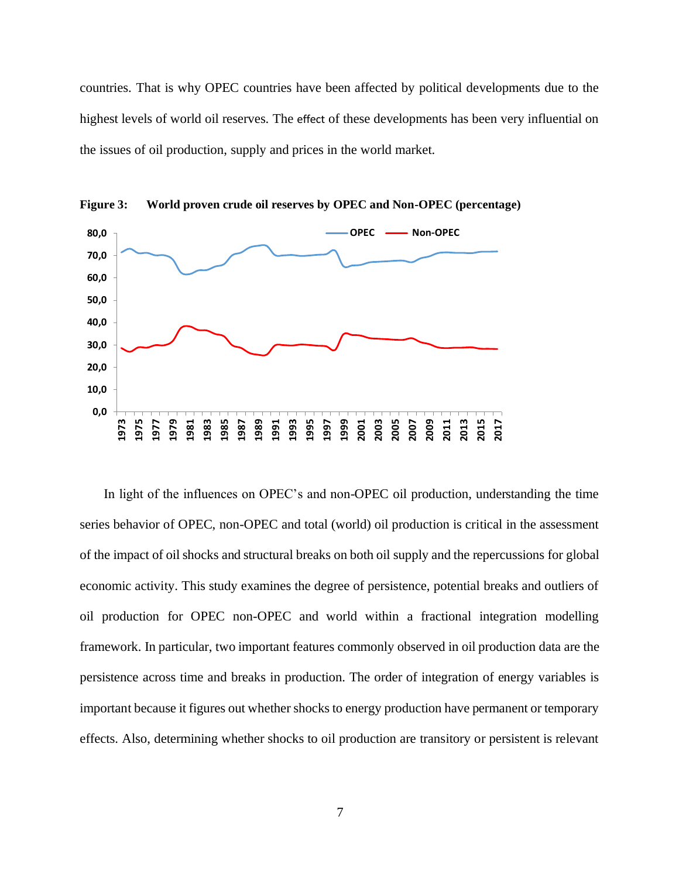countries. That is why OPEC countries have been affected by political developments due to the highest levels of world oil reserves. The effect of these developments has been very influential on the issues of oil production, supply and prices in the world market.



**Figure 3: World proven crude oil reserves by OPEC and Non-OPEC (percentage)**

In light of the influences on OPEC's and non-OPEC oil production, understanding the time series behavior of OPEC, non-OPEC and total (world) oil production is critical in the assessment of the impact of oil shocks and structural breaks on both oil supply and the repercussions for global economic activity. This study examines the degree of persistence, potential breaks and outliers of oil production for OPEC non-OPEC and world within a fractional integration modelling framework. In particular, two important features commonly observed in oil production data are the persistence across time and breaks in production. The order of integration of energy variables is important because it figures out whether shocks to energy production have permanent or temporary effects. Also, determining whether shocks to oil production are transitory or persistent is relevant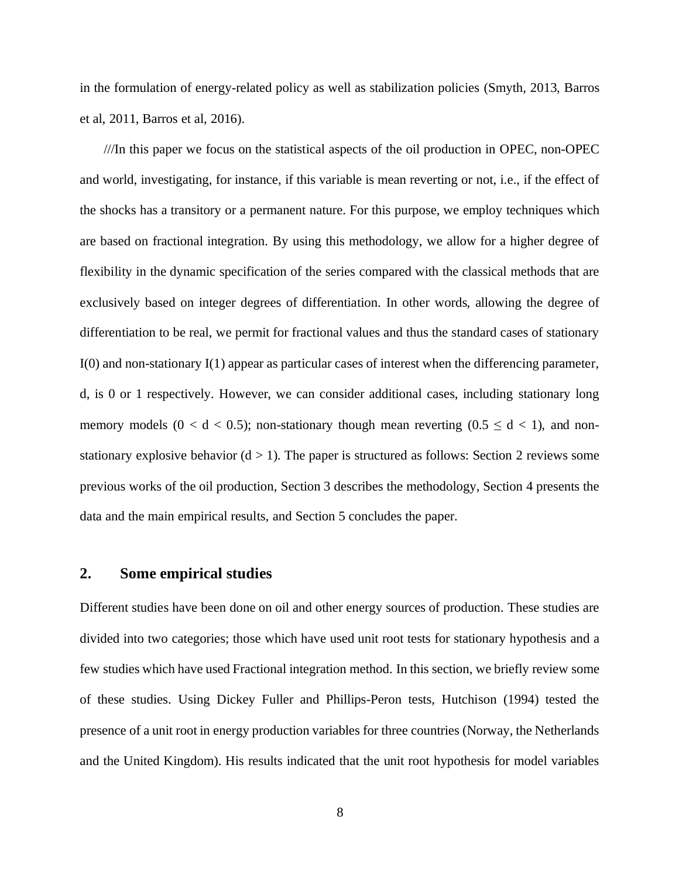in the formulation of energy-related policy as well as stabilization policies (Smyth, 2013, Barros et al, 2011, Barros et al, 2016).

///In this paper we focus on the statistical aspects of the oil production in OPEC, non-OPEC and world, investigating, for instance, if this variable is mean reverting or not, i.e., if the effect of the shocks has a transitory or a permanent nature. For this purpose, we employ techniques which are based on fractional integration. By using this methodology, we allow for a higher degree of flexibility in the dynamic specification of the series compared with the classical methods that are exclusively based on integer degrees of differentiation. In other words, allowing the degree of differentiation to be real, we permit for fractional values and thus the standard cases of stationary I(0) and non-stationary I(1) appear as particular cases of interest when the differencing parameter, d, is 0 or 1 respectively. However, we can consider additional cases, including stationary long memory models ( $0 < d < 0.5$ ); non-stationary though mean reverting ( $0.5 \le d < 1$ ), and nonstationary explosive behavior  $(d > 1)$ . The paper is structured as follows: Section 2 reviews some previous works of the oil production, Section 3 describes the methodology, Section 4 presents the data and the main empirical results, and Section 5 concludes the paper.

## **2. Some empirical studies**

Different studies have been done on oil and other energy sources of production. These studies are divided into two categories; those which have used unit root tests for stationary hypothesis and a few studies which have used Fractional integration method. In this section, we briefly review some of these studies. Using Dickey Fuller and Phillips-Peron tests, Hutchison (1994) tested the presence of a unit root in energy production variables for three countries (Norway, the Netherlands and the United Kingdom). His results indicated that the unit root hypothesis for model variables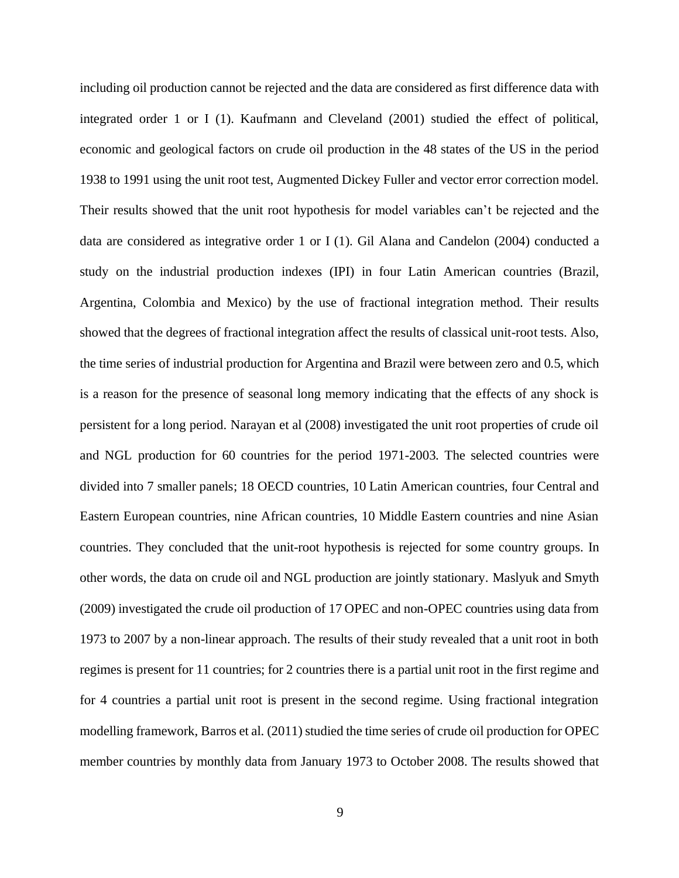including oil production cannot be rejected and the data are considered as first difference data with integrated order 1 or I (1). Kaufmann and Cleveland (2001) studied the effect of political, economic and geological factors on crude oil production in the 48 states of the US in the period 1938 to 1991 using the unit root test, Augmented Dickey Fuller and vector error correction model. Their results showed that the unit root hypothesis for model variables can't be rejected and the data are considered as integrative order 1 or I (1). Gil Alana and Candelon (2004) conducted a study on the industrial production indexes (IPI) in four Latin American countries (Brazil, Argentina, Colombia and Mexico) by the use of fractional integration method. Their results showed that the degrees of fractional integration affect the results of classical unit-root tests. Also, the time series of industrial production for Argentina and Brazil were between zero and 0.5, which is a reason for the presence of seasonal long memory indicating that the effects of any shock is persistent for a long period. Narayan et al (2008) investigated the unit root properties of crude oil and NGL production for 60 countries for the period 1971-2003. The selected countries were divided into 7 smaller panels; 18 OECD countries, 10 Latin American countries, four Central and Eastern European countries, nine African countries, 10 Middle Eastern countries and nine Asian countries. They concluded that the unit-root hypothesis is rejected for some country groups. In other words, the data on crude oil and NGL production are jointly stationary. Maslyuk and Smyth (2009) investigated the crude oil production of 17 OPEC and non-OPEC countries using data from 1973 to 2007 by a non-linear approach. The results of their study revealed that a unit root in both regimes is present for 11 countries; for 2 countries there is a partial unit root in the first regime and for 4 countries a partial unit root is present in the second regime. Using fractional integration modelling framework, Barros et al. (2011) studied the time series of crude oil production for OPEC member countries by monthly data from January 1973 to October 2008. The results showed that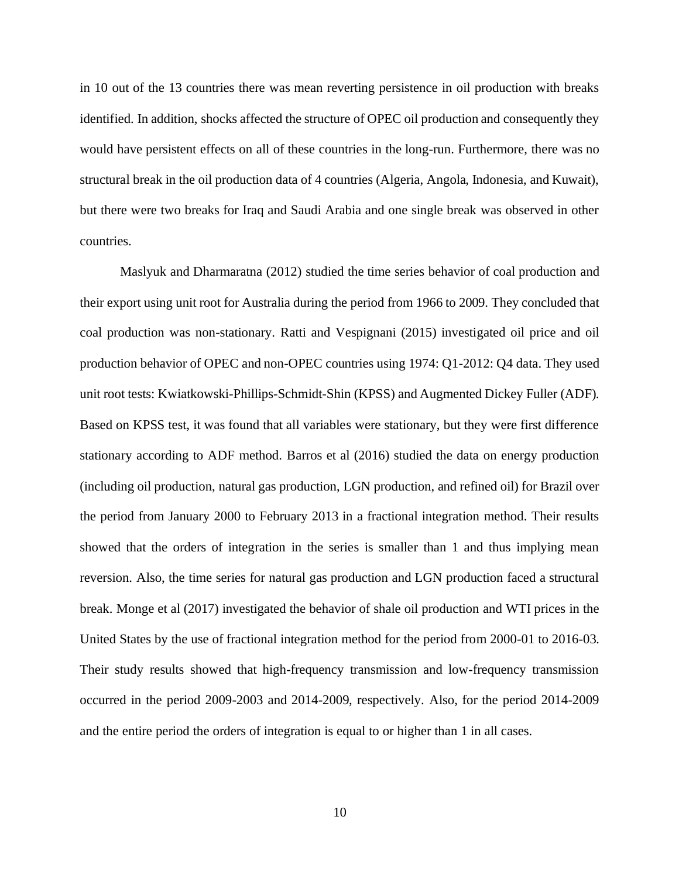in 10 out of the 13 countries there was mean reverting persistence in oil production with breaks identified. In addition, shocks affected the structure of OPEC oil production and consequently they would have persistent effects on all of these countries in the long-run. Furthermore, there was no structural break in the oil production data of 4 countries (Algeria, Angola, Indonesia, and Kuwait), but there were two breaks for Iraq and Saudi Arabia and one single break was observed in other countries.

Maslyuk and Dharmaratna (2012) studied the time series behavior of coal production and their export using unit root for Australia during the period from 1966 to 2009. They concluded that coal production was non-stationary. Ratti and Vespignani (2015) investigated oil price and oil production behavior of OPEC and non-OPEC countries using 1974: Q1-2012: Q4 data. They used unit root tests: Kwiatkowski-Phillips-Schmidt-Shin (KPSS) and Augmented Dickey Fuller (ADF). Based on KPSS test, it was found that all variables were stationary, but they were first difference stationary according to ADF method. Barros et al (2016) studied the data on energy production (including oil production, natural gas production, LGN production, and refined oil) for Brazil over the period from January 2000 to February 2013 in a fractional integration method. Their results showed that the orders of integration in the series is smaller than 1 and thus implying mean reversion. Also, the time series for natural gas production and LGN production faced a structural break. Monge et al (2017) investigated the behavior of shale oil production and WTI prices in the United States by the use of fractional integration method for the period from 2000-01 to 2016-03. Their study results showed that high-frequency transmission and low-frequency transmission occurred in the period 2009-2003 and 2014-2009, respectively. Also, for the period 2014-2009 and the entire period the orders of integration is equal to or higher than 1 in all cases.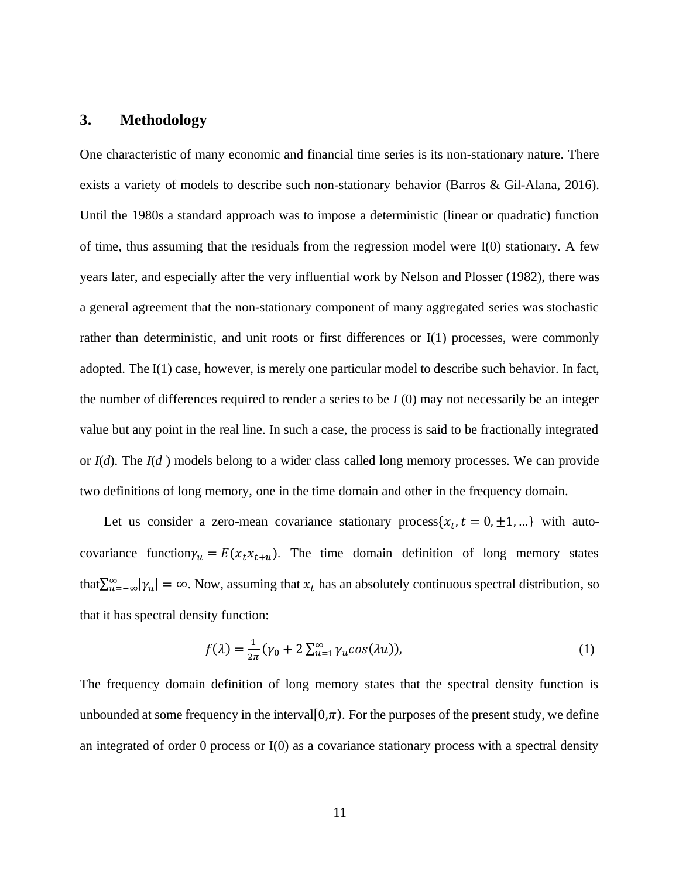### **3. Methodology**

One characteristic of many economic and financial time series is its non-stationary nature. There exists a variety of models to describe such non-stationary behavior (Barros & Gil-Alana, 2016). Until the 1980s a standard approach was to impose a deterministic (linear or quadratic) function of time, thus assuming that the residuals from the regression model were I(0) stationary. A few years later, and especially after the very influential work by Nelson and Plosser (1982), there was a general agreement that the non-stationary component of many aggregated series was stochastic rather than deterministic, and unit roots or first differences or I(1) processes, were commonly adopted. The I(1) case, however, is merely one particular model to describe such behavior. In fact, the number of differences required to render a series to be *I* (0) may not necessarily be an integer value but any point in the real line. In such a case, the process is said to be fractionally integrated or *I*(*d*). The *I*(*d* ) models belong to a wider class called long memory processes. We can provide two definitions of long memory, one in the time domain and other in the frequency domain.

Let us consider a zero-mean covariance stationary process $\{x_t, t = 0, \pm 1, ...\}$  with autocovariance function  $\gamma_u = E(x_t x_{t+u})$ . The time domain definition of long memory states that  $\sum_{u=-\infty}^{\infty} |\gamma_u| = \infty$ . Now, assuming that  $x_t$  has an absolutely continuous spectral distribution, so that it has spectral density function:

$$
f(\lambda) = \frac{1}{2\pi} (\gamma_0 + 2 \sum_{u=1}^{\infty} \gamma_u \cos(\lambda u)),
$$
 (1)

The frequency domain definition of long memory states that the spectral density function is unbounded at some frequency in the interval  $[0,\pi)$ . For the purposes of the present study, we define an integrated of order 0 process or  $I(0)$  as a covariance stationary process with a spectral density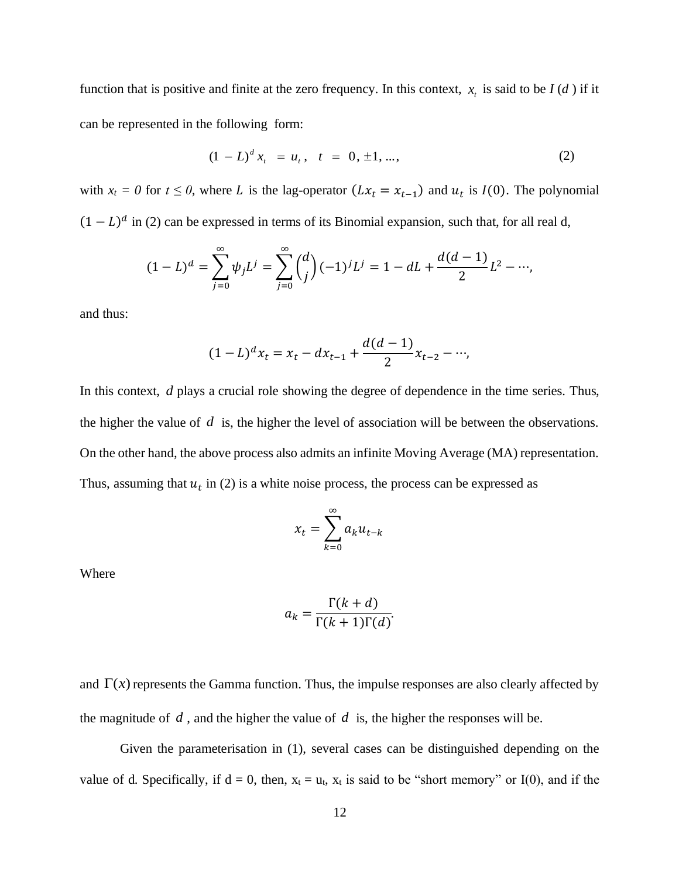function that is positive and finite at the zero frequency. In this context,  $x_t$  is said to be  $I(d)$  if it can be represented in the following form:

$$
(1 - L)^d x_t = u_t, \quad t = 0, \pm 1, \dots,
$$
 (2)

with  $x_t = 0$  for  $t \le 0$ , where L is the lag-operator  $(Lx_t = x_{t-1})$  and  $u_t$  is  $I(0)$ . The polynomial  $(1 - L)^d$  in (2) can be expressed in terms of its Binomial expansion, such that, for all real d,

$$
(1-L)^d = \sum_{j=0}^{\infty} \psi_j L^j = \sum_{j=0}^{\infty} {d \choose j} (-1)^j L^j = 1 - dL + \frac{d(d-1)}{2} L^2 - \cdots,
$$

and thus:

$$
(1 - L)^{d}x_{t} = x_{t} - dx_{t-1} + \frac{d(d-1)}{2}x_{t-2} - \cdots,
$$

In this context, *d* plays a crucial role showing the degree of dependence in the time series. Thus, the higher the value of  $d$  is, the higher the level of association will be between the observations. On the other hand, the above process also admits an infinite Moving Average (MA) representation. Thus, assuming that  $u_t$  in (2) is a white noise process, the process can be expressed as

$$
x_t = \sum_{k=0}^{\infty} a_k u_{t-k}
$$

Where

$$
a_k = \frac{\Gamma(k+d)}{\Gamma(k+1)\Gamma(d)}.
$$

and  $\Gamma(x)$  represents the Gamma function. Thus, the impulse responses are also clearly affected by the magnitude of  $d$ , and the higher the value of  $d$  is, the higher the responses will be.

Given the parameterisation in (1), several cases can be distinguished depending on the value of d. Specifically, if  $d = 0$ , then,  $x_t = u_t$ ,  $x_t$  is said to be "short memory" or I(0), and if the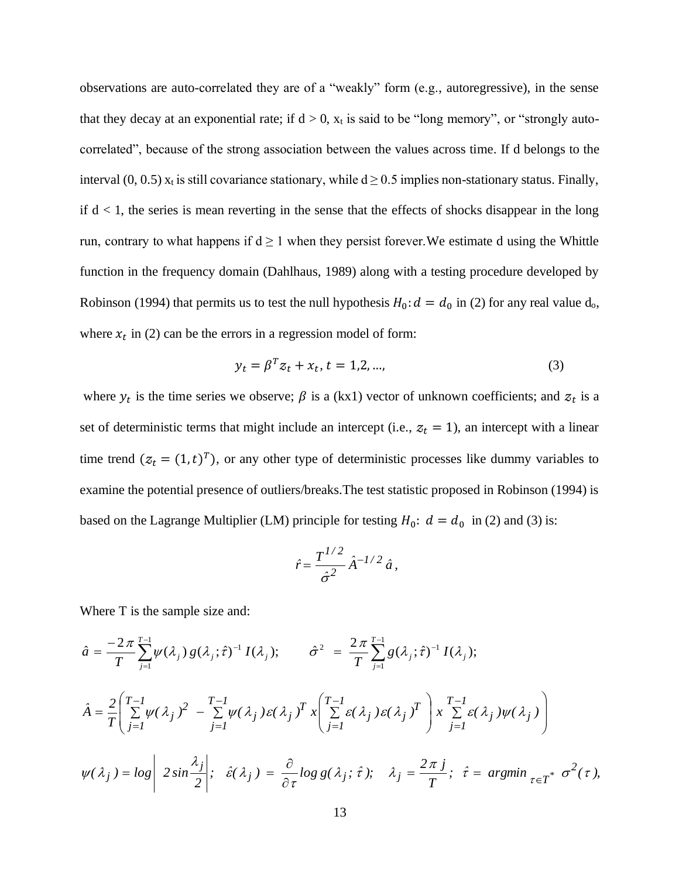observations are auto-correlated they are of a "weakly" form (e.g., autoregressive), in the sense that they decay at an exponential rate; if  $d > 0$ ,  $x_t$  is said to be "long memory", or "strongly autocorrelated", because of the strong association between the values across time. If d belongs to the interval (0, 0.5)  $x_t$  is still covariance stationary, while  $d \ge 0.5$  implies non-stationary status. Finally, if  $d < 1$ , the series is mean reverting in the sense that the effects of shocks disappear in the long run, contrary to what happens if  $d \ge 1$  when they persist forever. We estimate d using the Whittle function in the frequency domain (Dahlhaus, 1989) along with a testing procedure developed by Robinson (1994) that permits us to test the null hypothesis  $H_0: d = d_0$  in (2) for any real value  $d_0$ , where  $x_t$  in (2) can be the errors in a regression model of form:

$$
y_t = \beta^T z_t + x_t, t = 1, 2, ..., \tag{3}
$$

where  $y_t$  is the time series we observe;  $\beta$  is a (kx1) vector of unknown coefficients; and  $z_t$  is a set of deterministic terms that might include an intercept (i.e.,  $z_t = 1$ ), an intercept with a linear time trend  $(z_t = (1, t)^T)$ , or any other type of deterministic processes like dummy variables to examine the potential presence of outliers/breaks.The test statistic proposed in Robinson (1994) is based on the Lagrange Multiplier (LM) principle for testing  $H_0$ :  $d = d_0$  in (2) and (3) is:

$$
\hat{r} = \frac{T^{1/2}}{\hat{\sigma}^2} \hat{A}^{-1/2} \hat{a},
$$

Where T is the sample size and:

$$
\hat{a} = \frac{-2\pi}{T} \sum_{j=1}^{T-1} \psi(\lambda_j) g(\lambda_j; \hat{\tau})^{-1} I(\lambda_j); \qquad \hat{\sigma}^2 = \frac{2\pi}{T} \sum_{j=1}^{T-1} g(\lambda_j; \hat{\tau})^{-1} I(\lambda_j);
$$
\n
$$
\hat{A} = \frac{2}{T} \left( \sum_{j=1}^{T-1} \psi(\lambda_j) \right)^2 - \sum_{j=1}^{T-1} \psi(\lambda_j) g(\lambda_j) \left( \sum_{j=1}^{T-1} \xi(\lambda_j) g(\lambda_j) \right)^T \right) \left( \sum_{j=1}^{T-1} \xi(\lambda_j) \psi(\lambda_j) \right)
$$
\n
$$
\psi(\lambda_j) = \log \left| 2 \sin \frac{\lambda_j}{2} \right|; \quad \hat{\epsilon}(\lambda_j) = \frac{\partial}{\partial \tau} \log g(\lambda_j; \hat{\tau}); \quad \lambda_j = \frac{2\pi j}{T}; \quad \hat{\tau} = \arg \min_{\tau \in T^*} \sigma^2(\tau),
$$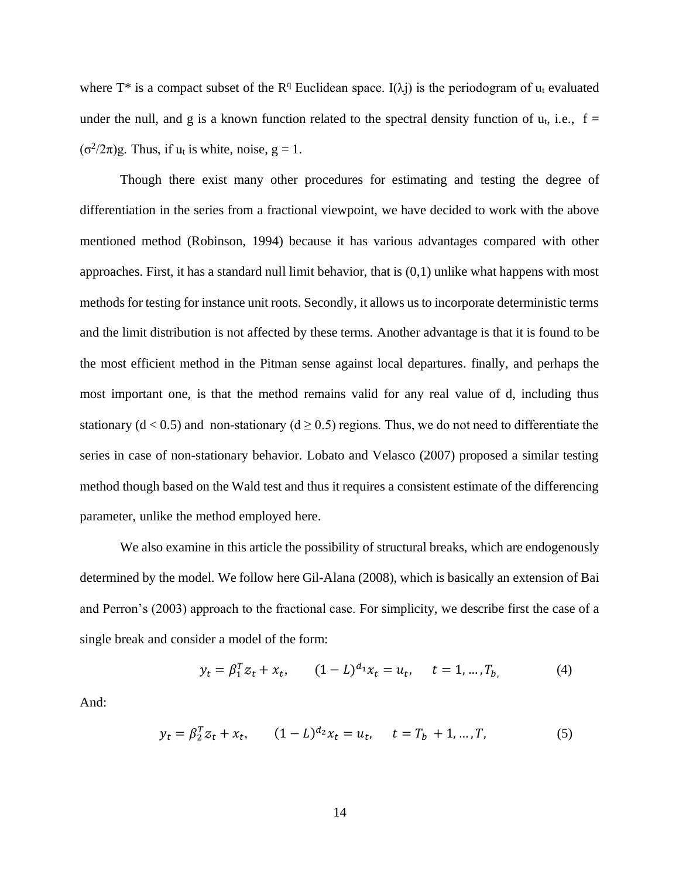where  $T^*$  is a compact subset of the  $R^q$  Euclidean space. I( $\lambda$ j) is the periodogram of u<sub>t</sub> evaluated under the null, and g is a known function related to the spectral density function of  $u_t$ , i.e., f =  $(\sigma^2/2\pi)$ g. Thus, if u<sub>t</sub> is white, noise, g = 1.

Though there exist many other procedures for estimating and testing the degree of differentiation in the series from a fractional viewpoint, we have decided to work with the above mentioned method (Robinson, 1994) because it has various advantages compared with other approaches. First, it has a standard null limit behavior, that is (0,1) unlike what happens with most methods for testing for instance unit roots. Secondly, it allows us to incorporate deterministic terms and the limit distribution is not affected by these terms. Another advantage is that it is found to be the most efficient method in the Pitman sense against local departures. finally, and perhaps the most important one, is that the method remains valid for any real value of d, including thus stationary ( $d < 0.5$ ) and non-stationary ( $d \ge 0.5$ ) regions. Thus, we do not need to differentiate the series in case of non-stationary behavior. Lobato and Velasco (2007) proposed a similar testing method though based on the Wald test and thus it requires a consistent estimate of the differencing parameter, unlike the method employed here.

We also examine in this article the possibility of structural breaks, which are endogenously determined by the model. We follow here Gil-Alana (2008), which is basically an extension of Bai and Perron's (2003) approach to the fractional case. For simplicity, we describe first the case of a single break and consider a model of the form:

$$
y_t = \beta_1^T z_t + x_t
$$
,  $(1 - L)^{d_1} x_t = u_t$ ,  $t = 1, ..., T_b$ , (4)

And:

$$
y_t = \beta_2^T z_t + x_t, \qquad (1 - L)^{d_2} x_t = u_t, \qquad t = T_b + 1, \dots, T,
$$
 (5)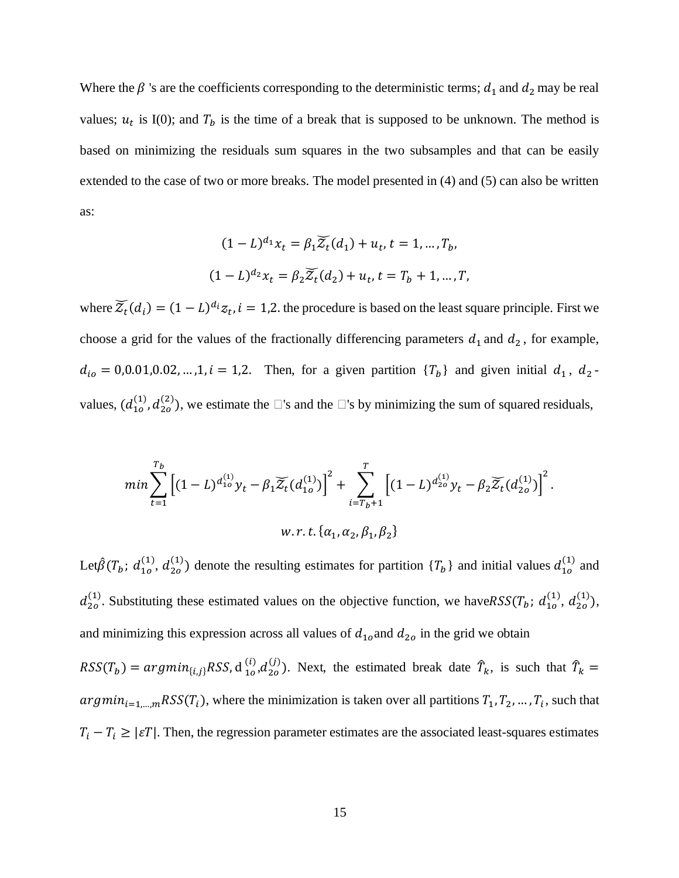Where the  $\beta$  's are the coefficients corresponding to the deterministic terms;  $d_1$  and  $d_2$  may be real values;  $u_t$  is I(0); and  $T_b$  is the time of a break that is supposed to be unknown. The method is based on minimizing the residuals sum squares in the two subsamples and that can be easily extended to the case of two or more breaks. The model presented in (4) and (5) can also be written as:

$$
(1 - L)^{d_1} x_t = \beta_1 \widetilde{Z}_t(d_1) + u_t, t = 1, ..., T_b,
$$
  

$$
(1 - L)^{d_2} x_t = \beta_2 \widetilde{Z}_t(d_2) + u_t, t = T_b + 1, ..., T,
$$

where  $\widetilde{Z}_t(d_i) = (1 - L)^{d_i} z_t$ ,  $i = 1,2$ . the procedure is based on the least square principle. First we choose a grid for the values of the fractionally differencing parameters  $d_1$  and  $d_2$ , for example,  $d_{io} = 0.0.01, 0.02, ..., 1, i = 1, 2.$  Then, for a given partition  ${T_b}$  and given initial  $d_1, d_2$ values,  $(d_{10}^{(1)}, d_{20}^{(2)})$ , we estimate the  $\Box$ 's and the  $\Box$ 's by minimizing the sum of squared residuals,

$$
min \sum_{t=1}^{T_b} \left[ (1-L)^{d_{10}^{(1)}} y_t - \beta_1 \widetilde{Z}_t (d_{10}^{(1)}) \right]^2 + \sum_{i=T_b+1}^{T} \left[ (1-L)^{d_{20}^{(1)}} y_t - \beta_2 \widetilde{Z}_t (d_{20}^{(1)}) \right]^2.
$$
  

$$
w.r.t. \{ \alpha_1, \alpha_2, \beta_1, \beta_2 \}
$$

Let $\hat{\beta}(T_b; d_{10}^{(1)}, d_{20}^{(1)})$  denote the resulting estimates for partition  $\{T_b\}$  and initial values  $d_{10}^{(1)}$  and  $d_{2o}^{(1)}$ . Substituting these estimated values on the objective function, we have  $RSS(T_b; d_{1o}^{(1)}, d_{2o}^{(1)}),$ and minimizing this expression across all values of  $d_{10}$  and  $d_{20}$  in the grid we obtain

 $RSS(T_b) = argmin_{\{i,j\}} RSS, d_{10}^{(i)}, d_{20}^{(j)}$ . Next, the estimated break date  $\hat{T}_k$ , is such that  $\hat{T}_k$ argmin<sub>i=1,…,m</sub>RSS(T<sub>i</sub>), where the minimization is taken over all partitions  $T_1, T_2, ..., T_i$ , such that  $T_i - T_i \geq |\varepsilon T|$ . Then, the regression parameter estimates are the associated least-squares estimates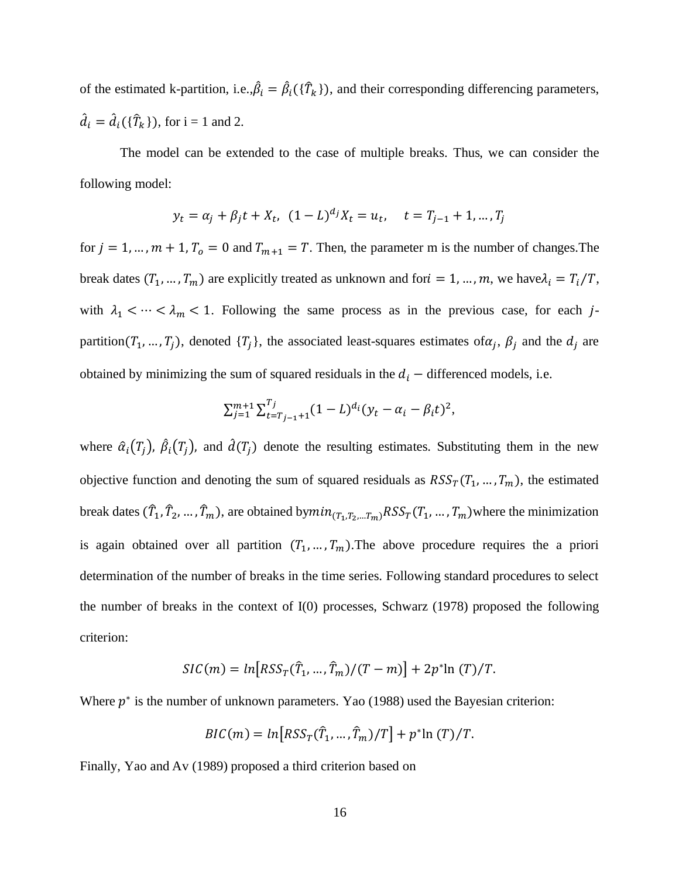of the estimated k-partition, i.e., $\hat{\beta}_i = \hat{\beta}_i(\{\hat{T}_k\})$ , and their corresponding differencing parameters,  $\hat{d}_i = \hat{d}_i(\{\hat{T}_k\})$ , for  $i = 1$  and 2.

The model can be extended to the case of multiple breaks. Thus, we can consider the following model:

$$
y_t = \alpha_j + \beta_j t + X_t
$$
,  $(1 - L)^{d_j} X_t = u_t$ ,  $t = T_{j-1} + 1, ..., T_j$ 

for  $j = 1, ..., m + 1$ ,  $T_0 = 0$  and  $T_{m+1} = T$ . Then, the parameter m is the number of changes. The break dates  $(T_1, ..., T_m)$  are explicitly treated as unknown and for  $i = 1, ..., m$ , we have  $\lambda_i = T_i/T$ , with  $\lambda_1 < \cdots < \lambda_m < 1$ . Following the same process as in the previous case, for each jpartition( $T_1, ..., T_j$ ), denoted  $\{T_j\}$ , the associated least-squares estimates of  $\alpha_j$ ,  $\beta_j$  and the  $d_j$  are obtained by minimizing the sum of squared residuals in the  $d_i$  – differenced models, i.e.

$$
\sum_{j=1}^{m+1} \sum_{t=T_{j-1}+1}^{T_j} (1-L)^{d_i} (y_t - \alpha_i - \beta_i t)^2,
$$

where  $\hat{\alpha}_i(T_j)$ ,  $\hat{\beta}_i(T_j)$ , and  $\hat{d}(T_j)$  denote the resulting estimates. Substituting them in the new objective function and denoting the sum of squared residuals as  $RSS_T(T_1, ..., T_m)$ , the estimated break dates  $(\hat{T}_1, \hat{T}_2, ..., \hat{T}_m)$ , are obtained by $min_{(T_1, T_2, ..., T_m)} RSS_T(T_1, ..., T_m)$  where the minimization is again obtained over all partition  $(T_1, ..., T_m)$ . The above procedure requires the a priori determination of the number of breaks in the time series. Following standard procedures to select the number of breaks in the context of I(0) processes, Schwarz (1978) proposed the following criterion:

$$
SIC(m) = \ln[RSS_T(\hat{T}_1, ..., \hat{T}_m)/(T-m)] + 2p^* \ln(T)/T.
$$

Where  $p^*$  is the number of unknown parameters. Yao (1988) used the Bayesian criterion:

$$
BIC(m) = \ln[RSS_T(\hat{T}_1, ..., \hat{T}_m)/T] + p^* \ln(T)/T.
$$

Finally, Yao and Av (1989) proposed a third criterion based on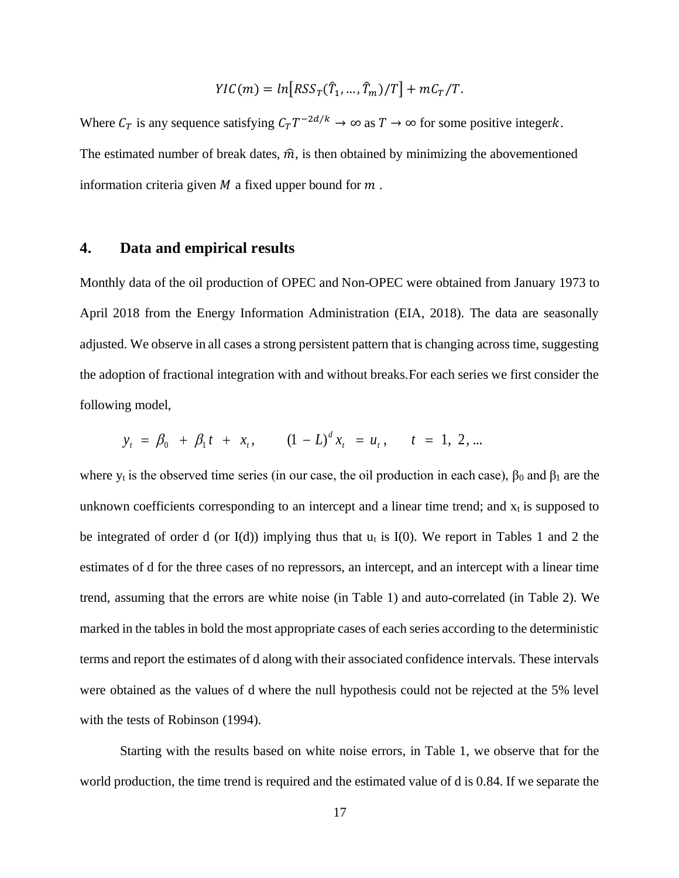$$
YIC(m) = ln[RSS_T(\hat{T}_1, ..., \hat{T}_m)/T] + mC_T/T.
$$

Where  $C_T$  is any sequence satisfying  $C_T T^{-2d/k} \to \infty$  as  $T \to \infty$  for some positive integerk. The estimated number of break dates,  $\hat{m}$ , is then obtained by minimizing the abovementioned information criteria given  $M$  a fixed upper bound for  $m$ .

## **4. Data and empirical results**

Monthly data of the oil production of OPEC and Non-OPEC were obtained from January 1973 to April 2018 from the Energy Information Administration (EIA, 2018). The data are seasonally adjusted. We observe in all cases a strong persistent pattern that is changing across time, suggesting the adoption of fractional integration with and without breaks.For each series we first consider the following model,

$$
y_t = \beta_0 + \beta_1 t + x_t, \qquad (1 - L)^d x_t = u_t, \qquad t = 1, 2, ...
$$

where  $y_t$  is the observed time series (in our case, the oil production in each case),  $\beta_0$  and  $\beta_1$  are the unknown coefficients corresponding to an intercept and a linear time trend; and  $x_t$  is supposed to be integrated of order d (or  $I(d)$ ) implying thus that  $u_t$  is  $I(0)$ . We report in Tables 1 and 2 the estimates of d for the three cases of no repressors, an intercept, and an intercept with a linear time trend, assuming that the errors are white noise (in Table 1) and auto-correlated (in Table 2). We marked in the tables in bold the most appropriate cases of each series according to the deterministic terms and report the estimates of d along with their associated confidence intervals. These intervals were obtained as the values of d where the null hypothesis could not be rejected at the 5% level with the tests of Robinson (1994).

Starting with the results based on white noise errors, in Table 1, we observe that for the world production, the time trend is required and the estimated value of d is 0.84. If we separate the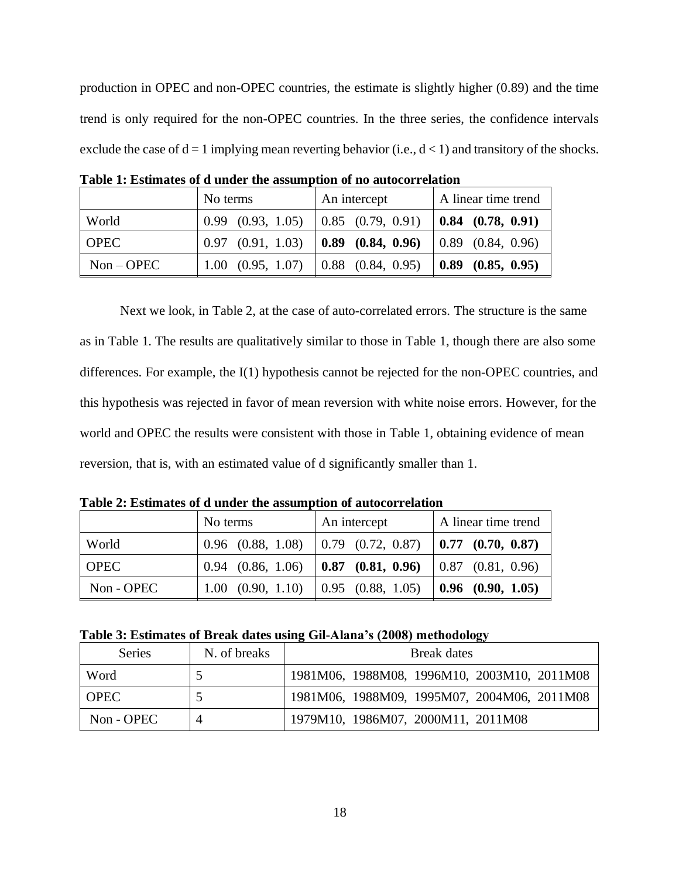production in OPEC and non-OPEC countries, the estimate is slightly higher (0.89) and the time trend is only required for the non-OPEC countries. In the three series, the confidence intervals exclude the case of  $d = 1$  implying mean reverting behavior (i.e.,  $d < 1$ ) and transitory of the shocks.

|             | No terms                                        | An intercept            | A linear time trend                   |  |
|-------------|-------------------------------------------------|-------------------------|---------------------------------------|--|
| World       | $0.99$ $(0.93, 1.05)$                           | $(0.85 \ (0.79, 0.91))$ | $\vert 0.84 \vert (0.78, 0.91) \vert$ |  |
| <b>OPEC</b> | $0.97$ $(0.91, 1.03)$                           | $0.89$ $(0.84, 0.96)$   | $\vert 0.89 \vert (0.84, 0.96) \vert$ |  |
| $Non-OPEC$  | 1.00 $(0.95, 1.07)$ $\vert$ 0.88 $(0.84, 0.95)$ |                         | $\vert 0.89 \vert (0.85, 0.95) \vert$ |  |

**Table 1: Estimates of d under the assumption of no autocorrelation**

Next we look, in Table 2, at the case of auto-correlated errors. The structure is the same as in Table 1. The results are qualitatively similar to those in Table 1, though there are also some differences. For example, the I(1) hypothesis cannot be rejected for the non-OPEC countries, and this hypothesis was rejected in favor of mean reversion with white noise errors. However, for the world and OPEC the results were consistent with those in Table 1, obtaining evidence of mean reversion, that is, with an estimated value of d significantly smaller than 1.

**Table 2: Estimates of d under the assumption of autocorrelation**

|             | No terms | An intercept                                                                                | A linear time trend |  |
|-------------|----------|---------------------------------------------------------------------------------------------|---------------------|--|
| World       |          | $\vert 0.96 \vert (0.88, 1.08) \vert 0.79 \vert (0.72, 0.87) \vert 0.77 \vert (0.70, 0.87)$ |                     |  |
| <b>OPEC</b> |          | $0.94$ (0.86, 1.06) <b>0.87 (0.81, 0.96)</b> 0.87 (0.81, 0.96)                              |                     |  |
| Non - OPEC  |          | 1.00 (0.90, 1.10) $\vert$ 0.95 (0.88, 1.05) <b>0.96 (0.90, 1.05)</b>                        |                     |  |

|  |  |  |  | Table 3: Estimates of Break dates using Gil-Alana's (2008) methodology |
|--|--|--|--|------------------------------------------------------------------------|
|  |  |  |  |                                                                        |

| Series      | N. of breaks | Break dates                                 |  |  |  |  |
|-------------|--------------|---------------------------------------------|--|--|--|--|
| Word        |              | 1981M06, 1988M08, 1996M10, 2003M10, 2011M08 |  |  |  |  |
| <b>OPEC</b> |              | 1981M06, 1988M09, 1995M07, 2004M06, 2011M08 |  |  |  |  |
| $Non-OPEC$  |              | 1979M10, 1986M07, 2000M11, 2011M08          |  |  |  |  |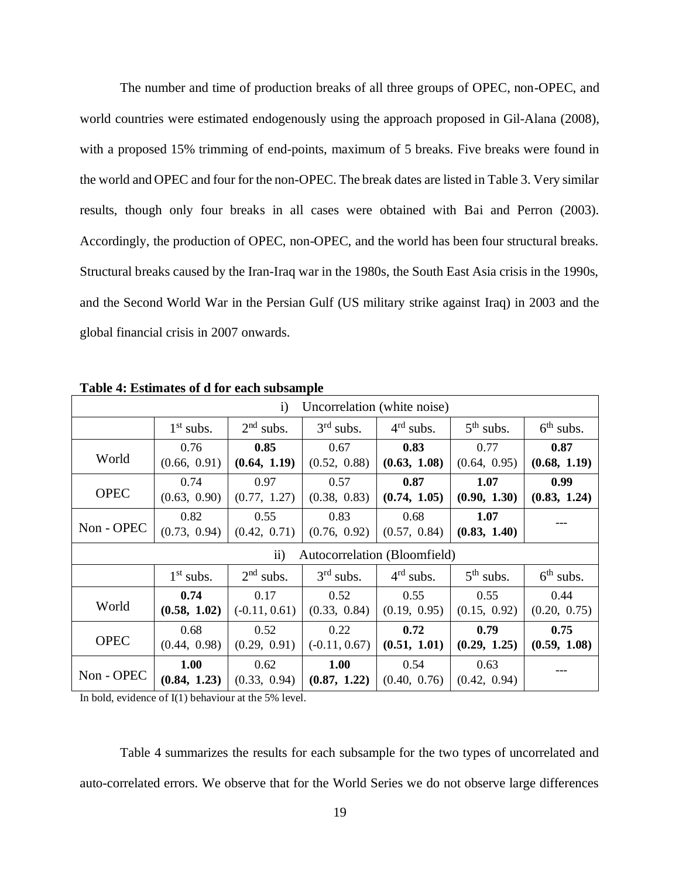The number and time of production breaks of all three groups of OPEC, non-OPEC, and world countries were estimated endogenously using the approach proposed in Gil-Alana (2008), with a proposed 15% trimming of end-points, maximum of 5 breaks. Five breaks were found in the world and OPEC and four for the non-OPEC. The break dates are listed in Table 3. Very similar results, though only four breaks in all cases were obtained with Bai and Perron (2003). Accordingly, the production of OPEC, non-OPEC, and the world has been four structural breaks. Structural breaks caused by the Iran-Iraq war in the 1980s, the South East Asia crisis in the 1990s, and the Second World War in the Persian Gulf (US military strike against Iraq) in 2003 and the global financial crisis in 2007 onwards.

| $\mathbf{i}$<br>Uncorrelation (white noise) |                      |                         |                         |                      |                      |                      |  |  |
|---------------------------------------------|----------------------|-------------------------|-------------------------|----------------------|----------------------|----------------------|--|--|
|                                             | $1st$ subs.          | $2nd$ subs.             | $3rd$ subs.             | $4rd$ subs.          | $5th$ subs.          | $6th$ subs.          |  |  |
| World                                       | 0.76<br>(0.66, 0.91) | 0.85<br>(0.64, 1.19)    | 0.67<br>(0.52, 0.88)    | 0.83<br>(0.63, 1.08) | 0.77<br>(0.64, 0.95) | 0.87<br>(0.68, 1.19) |  |  |
| <b>OPEC</b>                                 | 0.74<br>(0.63, 0.90) | 0.97<br>(0.77, 1.27)    | 0.57<br>(0.38, 0.83)    | 0.87<br>(0.74, 1.05) | 1.07<br>(0.90, 1.30) | 0.99<br>(0.83, 1.24) |  |  |
| Non - OPEC                                  | 0.82<br>(0.73, 0.94) | 0.55<br>(0.42, 0.71)    | 0.83<br>(0.76, 0.92)    | 0.68<br>(0.57, 0.84) | 1.07<br>(0.83, 1.40) |                      |  |  |
| Autocorrelation (Bloomfield)<br>$\rm ii)$   |                      |                         |                         |                      |                      |                      |  |  |
|                                             | $1st$ subs.          | $2nd$ subs.             | $3rd$ subs.             | $4rd$ subs.          | $5th$ subs.          | $6th$ subs.          |  |  |
| World                                       | 0.74<br>(0.58, 1.02) | 0.17<br>$(-0.11, 0.61)$ | 0.52<br>(0.33, 0.84)    | 0.55<br>(0.19, 0.95) | 0.55<br>(0.15, 0.92) | 0.44<br>(0.20, 0.75) |  |  |
| <b>OPEC</b>                                 | 0.68<br>(0.44, 0.98) | 0.52<br>(0.29, 0.91)    | 0.22<br>$(-0.11, 0.67)$ | 0.72<br>(0.51, 1.01) | 0.79<br>(0.29, 1.25) | 0.75<br>(0.59, 1.08) |  |  |
| Non - OPEC                                  | 1.00<br>(0.84, 1.23) | 0.62<br>(0.33, 0.94)    | 1.00<br>(0.87, 1.22)    | 0.54<br>(0.40, 0.76) | 0.63<br>(0.42, 0.94) |                      |  |  |

**Table 4: Estimates of d for each subsample**

In bold, evidence of I(1) behaviour at the 5% level.

Table 4 summarizes the results for each subsample for the two types of uncorrelated and auto-correlated errors. We observe that for the World Series we do not observe large differences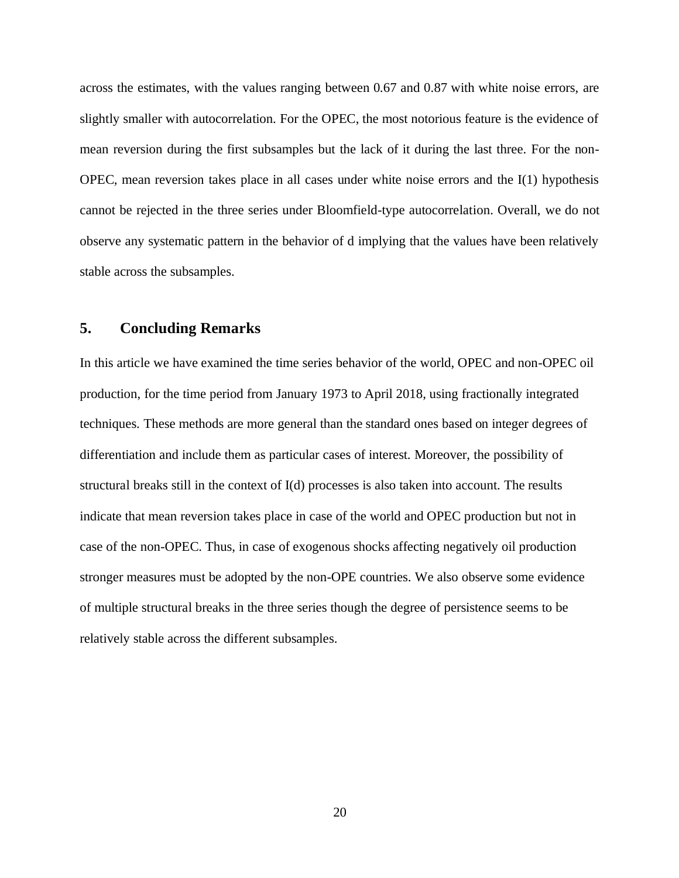across the estimates, with the values ranging between 0.67 and 0.87 with white noise errors, are slightly smaller with autocorrelation. For the OPEC, the most notorious feature is the evidence of mean reversion during the first subsamples but the lack of it during the last three. For the non-OPEC, mean reversion takes place in all cases under white noise errors and the I(1) hypothesis cannot be rejected in the three series under Bloomfield-type autocorrelation. Overall, we do not observe any systematic pattern in the behavior of d implying that the values have been relatively stable across the subsamples.

## **5. Concluding Remarks**

In this article we have examined the time series behavior of the world, OPEC and non-OPEC oil production, for the time period from January 1973 to April 2018, using fractionally integrated techniques. These methods are more general than the standard ones based on integer degrees of differentiation and include them as particular cases of interest. Moreover, the possibility of structural breaks still in the context of I(d) processes is also taken into account. The results indicate that mean reversion takes place in case of the world and OPEC production but not in case of the non-OPEC. Thus, in case of exogenous shocks affecting negatively oil production stronger measures must be adopted by the non-OPE countries. We also observe some evidence of multiple structural breaks in the three series though the degree of persistence seems to be relatively stable across the different subsamples.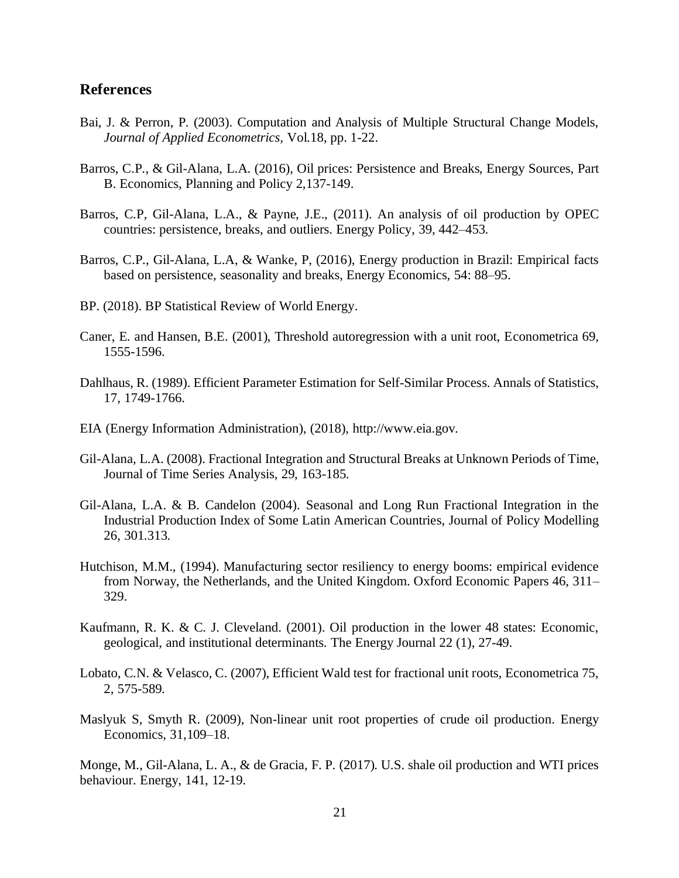### **References**

- Bai, J. & Perron, P. (2003). Computation and Analysis of Multiple Structural Change Models, *Journal of Applied Econometrics,* Vol.18, pp. 1-22.
- Barros, C.P., & Gil-Alana, L.A. (2016), Oil prices: Persistence and Breaks, Energy Sources, Part B. Economics, Planning and Policy 2,137-149.
- Barros, C.P, Gil-Alana, L.A., & Payne, J.E., (2011). An analysis of oil production by OPEC countries: persistence, breaks, and outliers. Energy Policy, 39, 442–453.
- Barros, C.P., Gil-Alana, L.A, & Wanke, P, (2016), Energy production in Brazil: Empirical facts based on persistence, seasonality and breaks, Energy Economics, 54: 88–95.
- BP. (2018). BP Statistical Review of World Energy.
- Caner, E. and Hansen, B.E. (2001), Threshold autoregression with a unit root, Econometrica 69, 1555-1596.
- Dahlhaus, R. (1989). Efficient Parameter Estimation for Self-Similar Process. Annals of Statistics, 17, 1749-1766.
- EIA (Energy Information Administration), (2018), http://www.eia.gov.
- Gil-Alana, L.A. (2008). Fractional Integration and Structural Breaks at Unknown Periods of Time, Journal of Time Series Analysis, 29, 163-185.
- Gil-Alana, L.A. & B. Candelon (2004). [Seasonal and Long Run Fractional Integration in the](https://ideas.repec.org/p/una/unccee/wp0804.html)  [Industrial Production Index of Some Latin America](https://ideas.repec.org/p/una/unccee/wp0804.html)n Countries, Journal of Policy Modelling 26, 301.313.
- Hutchison, M.M., (1994). Manufacturing sector resiliency to energy booms: empirical evidence from Norway, the Netherlands, and the United Kingdom. Oxford Economic Papers 46, 311– 329.
- Kaufmann, R. K. & C. J. Cleveland. (2001). Oil production in the lower 48 states: Economic, geological, and institutional determinants. The Energy Journal 22 (1), 27-49.
- Lobato, C.N. & Velasco, C. (2007), Efficient Wald test for fractional unit roots, Econometrica 75, 2, 575-589.
- Maslyuk S, Smyth R. (2009), Non-linear unit root properties of crude oil production. Energy Economics, 31,109–18.

Monge, M., Gil-Alana, L. A., & de Gracia, F. P. (2017). U.S. shale oil production and WTI prices behaviour. Energy, 141, 12-19.